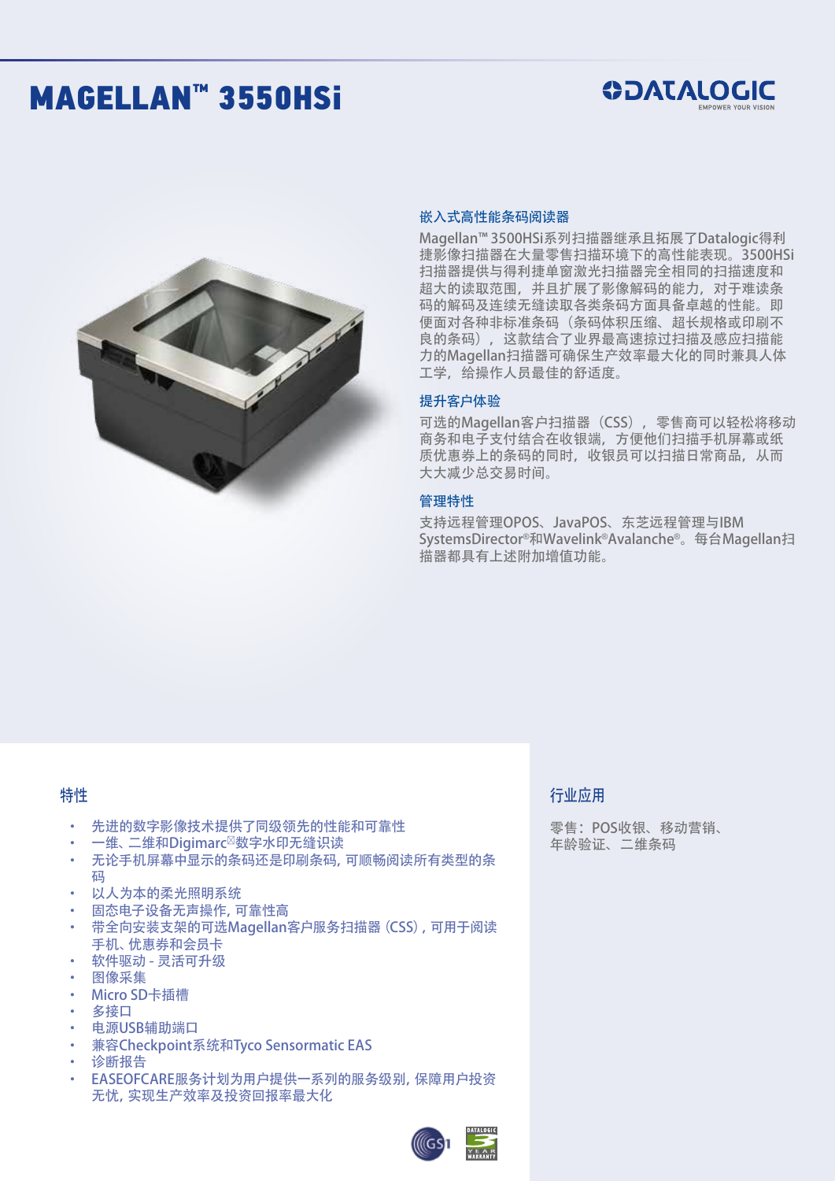# MAGELLAN™ 3550HSi





#### 嵌入式高性能条码阅读器

Magellan™ 3500HSi系列扫描器继承且拓展了Datalogic得利 捷影像扫描器在大量零售扫描环境下的高性能表现。3500HSi 扫描器提供与得利捷单窗激光扫描器完全相同的扫描速度和 超大的读取范围,并且扩展了影像解码的能力,对于难读条 码的解码及连续无缝读取各类条码方面具备卓越的性能。即 便面对各种非标准条码(条码体积压缩、超长规格或印刷不 良的条码),这款结合了业界最高速掠过扫描及感应扫描能 力的Magellan扫描器可确保生产效率最大化的同时兼具人体 工学,给操作人员最佳的舒适度。

#### 提升客户体验

可选的Magellan客户扫描器 (CSS), 零售商可以轻松将移动 商务和电子支付结合在收银端,方便他们扫描手机屏幕或纸 质优惠券上的条码的同时,收银员可以扫描日常商品,从而 大大减少总交易时间。

#### 管理特性

支持远程管理OPOS、JavaPOS、东芝远程管理与IBM SystemsDirector®和Wavelink®Avalanche®。每台Magellan扫 描器都具有上述附加增值功能。

### 特性

- 先进的数字影像技术提供了同级领先的性能和可靠性
- 一维、二维和Digimarc<sup>⊠</sup>数字水印无缝识读
- 无论手机屏幕中显示的条码还是印刷条码,可顺畅阅读所有类型的条 码
- 以人为本的柔光照明系统
- 固态电子设备无声操作, 可靠性高
- 带全向安装支架的可选Magellan客户服务扫描器(CSS),可用于阅读 手机、优惠券和会员卡
- 软件驱动 灵活可升级
- 图像采集
- Micro SD卡插槽
- 多接口
- 电源USB辅助端口
- **兼容Checkpoint系统和Tyco Sensormatic EAS**
- 诊断报告
- EASEOFCARE服务计划为用户提供一系列的服务级别, 保障用户投资 无忧,实现生产效率及投资回报率最大化

### 行业应用

零售:POS收银、移动营销、 年龄验证、二维条码